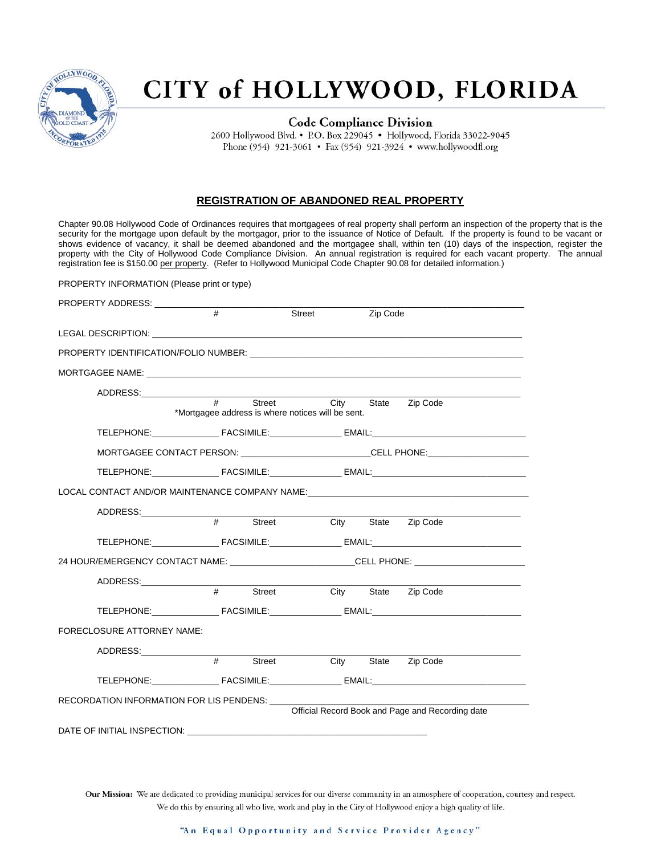

## CITY of HOLLYWOOD, FLORIDA

**Code Compliance Division** 2600 Hollywood Blvd. • P.O. Box 229045 • Hollywood, Florida 33022-9045 Phone (954) 921-3061 • Fax (954) 921-3924 • www.hollywoodfl.org

#### **REGISTRATION OF ABANDONED REAL PROPERTY**

Chapter 90.08 Hollywood Code of Ordinances requires that mortgagees of real property shall perform an inspection of the property that is the security for the mortgage upon default by the mortgagor, prior to the issuance of Notice of Default. If the property is found to be vacant or shows evidence of vacancy, it shall be deemed abandoned and the mortgagee shall, within ten (10) days of the inspection, register the property with the City of Hollywood Code Compliance Division. An annual registration is required for each vacant property. The annual registration fee is \$150.00 per property. (Refer to Hollywood Municipal Code Chapter 90.08 for detailed information.)

PROPERTY INFORMATION (Please print or type)

| PROPERTY ADDRESS: ____________                                                                                                                                                                                                 |                |                                                             |                     |                                                  |  |
|--------------------------------------------------------------------------------------------------------------------------------------------------------------------------------------------------------------------------------|----------------|-------------------------------------------------------------|---------------------|--------------------------------------------------|--|
|                                                                                                                                                                                                                                | #              | Street                                                      | Zip Code            |                                                  |  |
| LEGAL DESCRIPTION: And the contract of the contract of the contract of the contract of the contract of the contract of the contract of the contract of the contract of the contract of the contract of the contract of the con |                |                                                             |                     |                                                  |  |
|                                                                                                                                                                                                                                |                |                                                             |                     |                                                  |  |
|                                                                                                                                                                                                                                |                |                                                             |                     |                                                  |  |
|                                                                                                                                                                                                                                |                |                                                             |                     |                                                  |  |
|                                                                                                                                                                                                                                | $\overline{+}$ | Street<br>*Mortgagee address is where notices will be sent. | City State Zip Code |                                                  |  |
|                                                                                                                                                                                                                                |                |                                                             |                     |                                                  |  |
| MORTGAGEE CONTACT PERSON: ___________________________CELL PHONE:________________                                                                                                                                               |                |                                                             |                     |                                                  |  |
|                                                                                                                                                                                                                                |                |                                                             |                     |                                                  |  |
| LOCAL CONTACT AND/OR MAINTENANCE COMPANY NAME:                                                                                                                                                                                 |                |                                                             |                     |                                                  |  |
| ADDRESS:________________                                                                                                                                                                                                       |                |                                                             |                     |                                                  |  |
|                                                                                                                                                                                                                                | $\frac{1}{1}$  | Street                                                      | City State Zip Code |                                                  |  |
|                                                                                                                                                                                                                                |                |                                                             |                     |                                                  |  |
| 24 HOUR/EMERGENCY CONTACT NAME: __________________________CELL PHONE: ___________                                                                                                                                              |                |                                                             |                     |                                                  |  |
|                                                                                                                                                                                                                                |                |                                                             |                     |                                                  |  |
|                                                                                                                                                                                                                                | #              | Street                                                      | City State Zip Code |                                                  |  |
|                                                                                                                                                                                                                                |                |                                                             |                     |                                                  |  |
| FORECLOSURE ATTORNEY NAME:                                                                                                                                                                                                     |                |                                                             |                     |                                                  |  |
|                                                                                                                                                                                                                                |                |                                                             |                     |                                                  |  |
|                                                                                                                                                                                                                                | #              | Street                                                      | City                | State Zip Code                                   |  |
|                                                                                                                                                                                                                                |                |                                                             |                     |                                                  |  |
| RECORDATION INFORMATION FOR LIS PENDENS: ____                                                                                                                                                                                  |                |                                                             |                     |                                                  |  |
|                                                                                                                                                                                                                                |                |                                                             |                     | Official Record Book and Page and Recording date |  |
| DATE OF INITIAL INSPECTION:                                                                                                                                                                                                    |                |                                                             |                     |                                                  |  |

Our Mission: We are dedicated to providing municipal services for our diverse community in an atmosphere of cooperation, courtesy and respect. We do this by ensuring all who live, work and play in the City of Hollywood enjoy a high quality of life.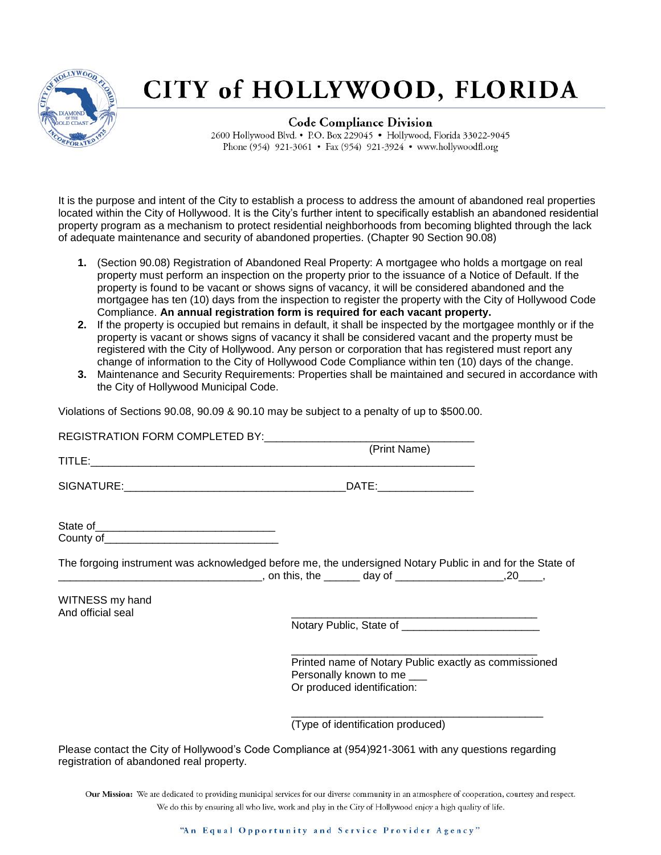

# CITY of HOLLYWOOD, FLORIDA

**Code Compliance Division** 2600 Hollywood Blvd. • P.O. Box 229045 • Hollywood, Florida 33022-9045 Phone (954) 921-3061 • Fax (954) 921-3924 • www.hollywoodfl.org

It is the purpose and intent of the City to establish a process to address the amount of abandoned real properties located within the City of Hollywood. It is the City's further intent to specifically establish an abandoned residential property program as a mechanism to protect residential neighborhoods from becoming blighted through the lack of adequate maintenance and security of abandoned properties. (Chapter 90 Section 90.08)

- **1.** (Section 90.08) Registration of Abandoned Real Property: A mortgagee who holds a mortgage on real property must perform an inspection on the property prior to the issuance of a Notice of Default. If the property is found to be vacant or shows signs of vacancy, it will be considered abandoned and the mortgagee has ten (10) days from the inspection to register the property with the City of Hollywood Code Compliance. **An annual registration form is required for each vacant property.**
- **2.** If the property is occupied but remains in default, it shall be inspected by the mortgagee monthly or if the property is vacant or shows signs of vacancy it shall be considered vacant and the property must be registered with the City of Hollywood. Any person or corporation that has registered must report any change of information to the City of Hollywood Code Compliance within ten (10) days of the change.
- **3.** Maintenance and Security Requirements: Properties shall be maintained and secured in accordance with the City of Hollywood Municipal Code.

Violations of Sections 90.08, 90.09 & 90.10 may be subject to a penalty of up to \$500.00.

|                                          | (Print Name)                                                                                                       |
|------------------------------------------|--------------------------------------------------------------------------------------------------------------------|
|                                          |                                                                                                                    |
|                                          |                                                                                                                    |
|                                          | The forgoing instrument was acknowledged before me, the undersigned Notary Public in and for the State of          |
| WITNESS my hand<br>And official seal     | Notary Public, State of ____________________________                                                               |
|                                          |                                                                                                                    |
|                                          | Printed name of Notary Public exactly as commissioned<br>Personally known to me ___<br>Or produced identification: |
|                                          | (Type of identification produced)                                                                                  |
| registration of abandoned real property. | Please contact the City of Hollywood's Code Compliance at (954)921-3061 with any questions regarding               |

Our Mission: We are dedicated to providing municipal services for our diverse community in an atmosphere of cooperation, courtesy and respect. We do this by ensuring all who live, work and play in the City of Hollywood enjoy a high quality of life.